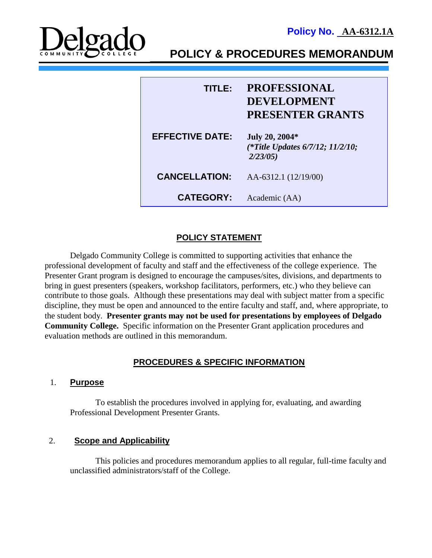**Policy No. AA-6312.1A**



**POLICY & PROCEDURES MEMORANDUM**

| TITLE:                 | <b>PROFESSIONAL</b><br><b>DEVELOPMENT</b><br><b>PRESENTER GRANTS</b> |
|------------------------|----------------------------------------------------------------------|
| <b>EFFECTIVE DATE:</b> | July 20, 2004*<br>(*Title Updates 6/7/12; 11/2/10;<br>2/23/05        |
| <b>CANCELLATION:</b>   | AA-6312.1 (12/19/00)                                                 |
| <b>CATEGORY:</b>       | Academic (AA)                                                        |

# **POLICY STATEMENT**

 Delgado Community College is committed to supporting activities that enhance the professional development of faculty and staff and the effectiveness of the college experience. The Presenter Grant program is designed to encourage the campuses/sites, divisions, and departments to bring in guest presenters (speakers, workshop facilitators, performers, etc.) who they believe can contribute to those goals. Although these presentations may deal with subject matter from a specific discipline, they must be open and announced to the entire faculty and staff, and, where appropriate, to the student body. **Presenter grants may not be used for presentations by employees of Delgado Community College.** Specific information on the Presenter Grant application procedures and evaluation methods are outlined in this memorandum.

## **PROCEDURES & SPECIFIC INFORMATION**

## 1. **Purpose**

To establish the procedures involved in applying for, evaluating, and awarding Professional Development Presenter Grants.

## 2. **Scope and Applicability**

This policies and procedures memorandum applies to all regular, full-time faculty and unclassified administrators/staff of the College.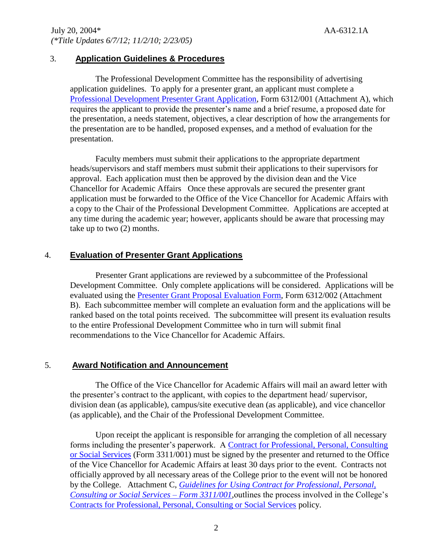#### 3. **Application Guidelines & Procedures**

The Professional Development Committee has the responsibility of advertising application guidelines. To apply for a presenter grant, an applicant must complete a [Professional Development Presenter Grant Application,](http://docushare3.dcc.edu/docushare/dsweb/Get/Document-356/6312-packet.doc) Form 6312/001 (Attachment A), which requires the applicant to provide the presenter's name and a brief resume, a proposed date for the presentation, a needs statement, objectives, a clear description of how the arrangements for the presentation are to be handled, proposed expenses, and a method of evaluation for the presentation.

Faculty members must submit their applications to the appropriate department heads/supervisors and staff members must submit their applications to their supervisors for approval. Each application must then be approved by the division dean and the Vice Chancellor for Academic Affairs Once these approvals are secured the presenter grant application must be forwarded to the Office of the Vice Chancellor for Academic Affairs with a copy to the Chair of the Professional Development Committee. Applications are accepted at any time during the academic year; however, applicants should be aware that processing may take up to two (2) months.

## 4. **Evaluation of Presenter Grant Applications**

Presenter Grant applications are reviewed by a subcommittee of the Professional Development Committee. Only complete applications will be considered. Applications will be evaluated using the [Presenter Grant Proposal Evaluation Form,](http://docushare3.dcc.edu/docushare/dsweb/Get/Document-356/6312-packet.doc) Form 6312/002 (Attachment B). Each subcommittee member will complete an evaluation form and the applications will be ranked based on the total points received. The subcommittee will present its evaluation results to the entire Professional Development Committee who in turn will submit final recommendations to the Vice Chancellor for Academic Affairs.

## 5. **Award Notification and Announcement**

The Office of the Vice Chancellor for Academic Affairs will mail an award letter with the presenter's contract to the applicant, with copies to the department head/ supervisor, division dean (as applicable), campus/site executive dean (as applicable), and vice chancellor (as applicable), and the Chair of the Professional Development Committee.

Upon receipt the applicant is responsible for arranging the completion of all necessary forms including the presenter's paperwork. A [Contract for Professional, Personal,](http://docushare3.dcc.edu/docushare/dsweb/Get/Document-106/3311-001.doc) Consulting [or Social Services](http://docushare3.dcc.edu/docushare/dsweb/Get/Document-106/3311-001.doc) (Form 3311/001) must be signed by the presenter and returned to the Office of the Vice Chancellor for Academic Affairs at least 30 days prior to the event. Contracts not officially approved by all necessary areas of the College prior to the event will not be honored by the College. Attachment C, *[Guidelines for Using Contract for Professional, Personal,](http://docushare3.dcc.edu/docushare/dsweb/Get/Document-356/6312-packet.DOC)  [Consulting or Social Services –](http://docushare3.dcc.edu/docushare/dsweb/Get/Document-356/6312-packet.DOC) Form 3311/001,*outlines the process involved in the College's [Contracts for Professional, Personal, Consulting or Social Services](http://docushare3.dcc.edu/docushare/dsweb/Get/Document-363/3311-1c.DOC) policy.